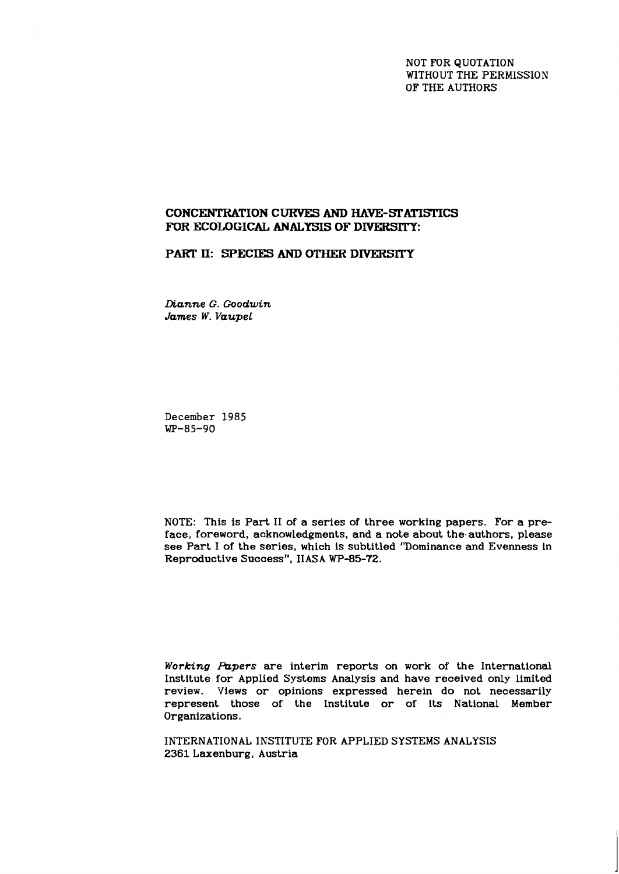NOT FOR QUOTATION WITHOUT THE PERMISSION OF THE AUTHORS

# **CONCENTRATION CURVES AND HAVE-STATISTICS** FOR **ECOLOGICAL ANALYSIS OF DIVERSITY:**

### **PART II: SPECIES AND OTHER DIVERSITY**

*Dianne G. Goodwin James W. Vaupel* 

**December 1985 WP-85-90** 

NOTE: This is Part I1 of a series of three working papers. For a preface, foreword, acknowledgments, and a note about the authors, please see Part I of the series, which is subtitled "Dominance and Evenness in Reproductive Success", IIASA WP-85-72.

*Working Papers* are interim reports on work of the International Institute for Applied Systems Analysis and have received only limited review. Views or opinions expressed herein do not necessarily represent those of the Institute or of its National Member Organizations.

INTERNATIONAL INSTITUTE FOR APPLIED SYSTEMS ANALYSIS 2361 Laxenburg, Austria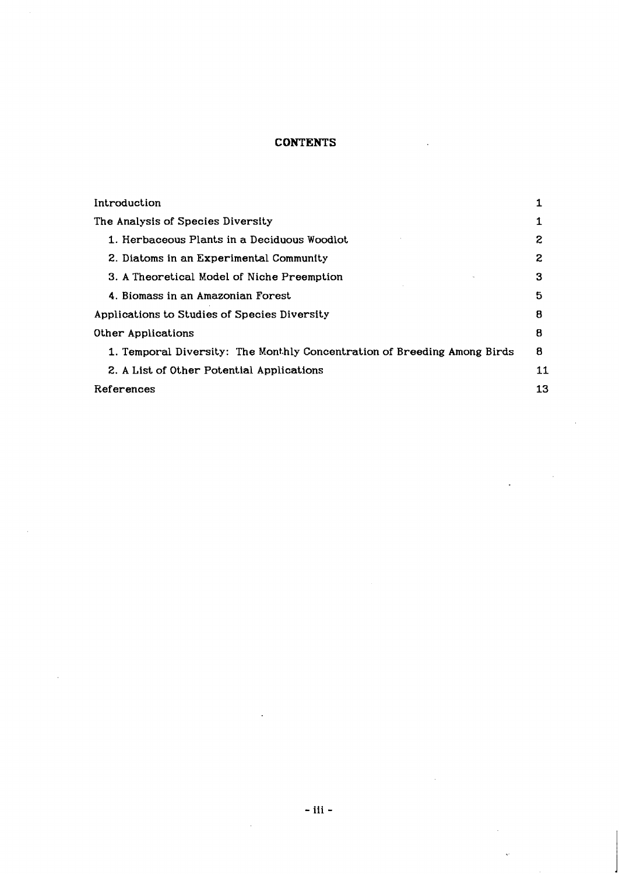# **CONTENTS**

 $\mathbf{r}$ 

 $\sim$   $\sim$ 

| Introduction                                                             |    |
|--------------------------------------------------------------------------|----|
| The Analysis of Species Diversity                                        |    |
| 1. Herbaceous Plants in a Deciduous Woodlot                              | 2  |
| 2. Diatoms in an Experimental Community                                  | 2  |
| 3. A Theoretical Model of Niche Preemption                               | 3  |
| 4. Biomass in an Amazonian Forest                                        | 5  |
| Applications to Studies of Species Diversity                             | 8  |
| Other Applications                                                       | 8  |
| 1. Temporal Diversity: The Monthly Concentration of Breeding Among Birds | 8  |
| 2. A List of Other Potential Applications                                | 11 |
| References                                                               | 13 |

 $\bar{z}$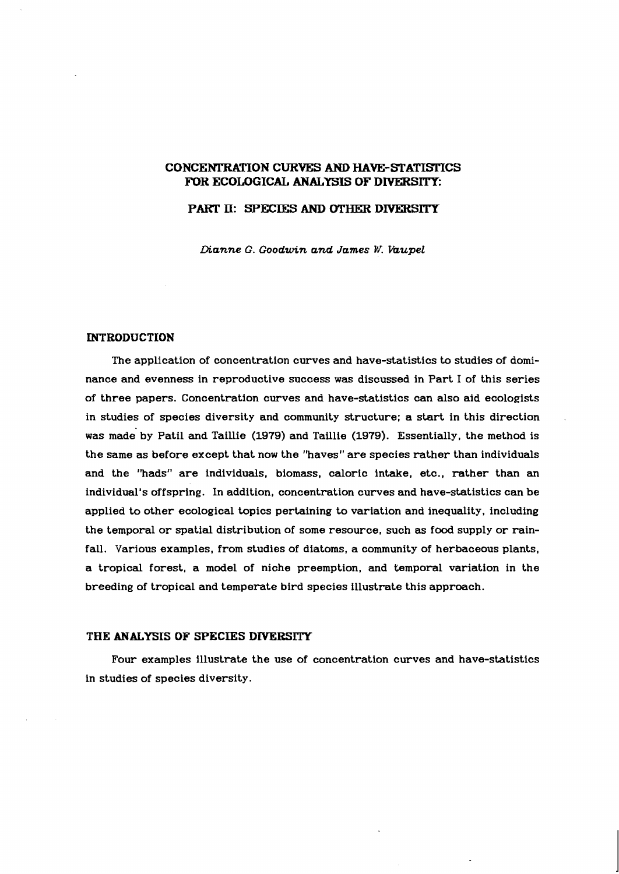## **CONCENTRATION CURVES AND HAVE-STATISlTCS**  FOR ECOLOGICAL ANALYSIS OF DIVERSITY:

## **PART 11: SPECIES AND** *OTHER* **DIVERSITY**

*Dianne G. Goodwin and James W. hupel* 

### **INTRODUCTION**

The application of concentration curves and have-statistics to studies of dominance and evenness in reproductive success was discussed in Part I of this series of three papers. Concentration curves and have-statistics can also aid ecologists in studies of species diversity and community structure; a start in this direction . was made by Patil and Taillie **(1979)** and Taillie **(1979).** Essentially, the method is the same as before except that now the "haves" are species rather than individuals and the "hads" are individuals, biomass, caloric intake. etc., rather than an individual's offspring. In addition, concentration curves and have-statistics can be applied to other ecological topics pertaining to variation and inequality, including the temporal or spatial distribution of some resource, such as food supply or rainfall. Various examples, from studies of diatoms, a community of herbaceous plants, a tropical forest, a model of niche preemption, and temporal variation in the breeding of tropical and temperate bird species illustrate this approach.

#### **THE ANALYSIS OF SPECIES DIYERSITY**

Four examples illustrate the use of concentration curves and have-statistics in studies of species diversity.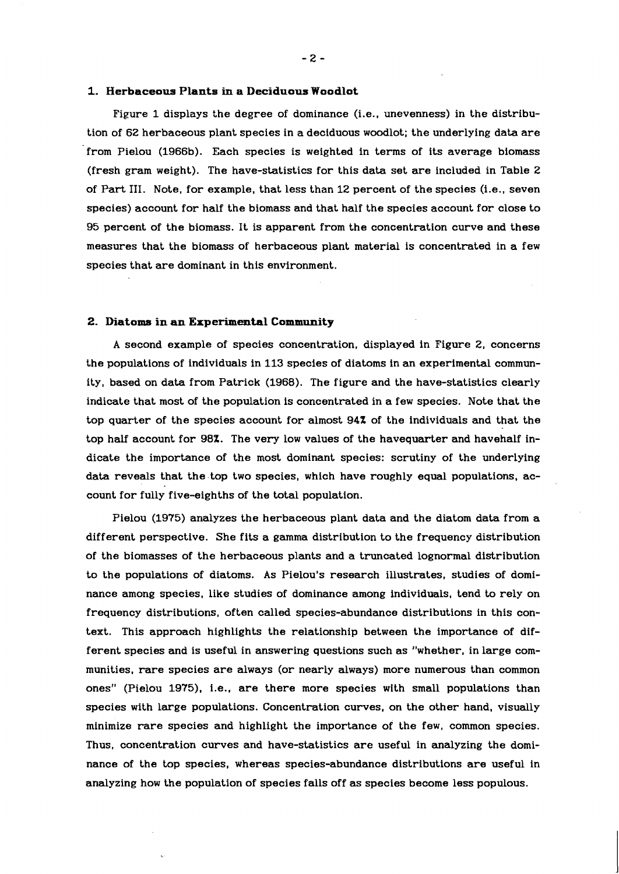#### **1. Herbaceous Plants in a Deciduous Woodlot**

Figure 1 displays the degree of dominance (i.e., unevenness) in the distribution of 62 herbaceous plant species in a deciduous woodlot; the underlying data are from Pielou (1966b). Each species is weighted in terms of its average biomass (fresh gram weight). The have-statistics for this data set are included in Table 2 of Part 111. Note, for example, that less than 12 percent of the species (i.e., seven species) account for half the biomass and that half the species account for close to 95 percent of the biomass. It is apparent from the concentration curve and these measures that the biomass of herbaceous plant material is concentrated in a few species that are dominant in this environment.

#### **2. Diatoms in an Experimental Community**

A second example of species concentration, displayed in Figure 2, concerns the populations of individuals in 113 species of diatoms in an experimental community, based on data from Patrick (1968). The figure and the have-statistics clearly indicate that most of the population is concentrated in a few species. Note that the top quarter of the species account for almost 94% of the individuals and that the top half account for 98%. The very low values of the havequarter and havehalf indicate the importance of the most dominant species: scrutiny of the underlying data reveals that the top two species, which have roughly equal populations, account for fully five-eighths of the total population.

Pielou (1975) analyzes the herbaceous plant data and the diatom data from a different perspective. She fits a gamma distribution to the frequency distribution of the biomasses of the herbaceous plants and a truncated lognormal distribution to the populations of diatoms. As Pielou's research illustrates, studies of dominance among species, like studies of dominance among individuals, tend to rely on frequency distributions, often called species-abundance distributions in this context. This approach highlights the relationship between the importance of different species and is useful in answering questions such as "whether, in large communities, rare species are always (or nearly always) more numerous than common ones" (Pielou 1975). i.e.. are there more species with small populations than species with large populations. Concentration curves, on the other hand, visually minimize rare species and highlight the importance of the few, common species. Thus, concentration curves and have-statistics are useful in analyzing the dominance of the top species, whereas species-abundance distributions are useful in analyzing how the population of species falls off as species become less populous.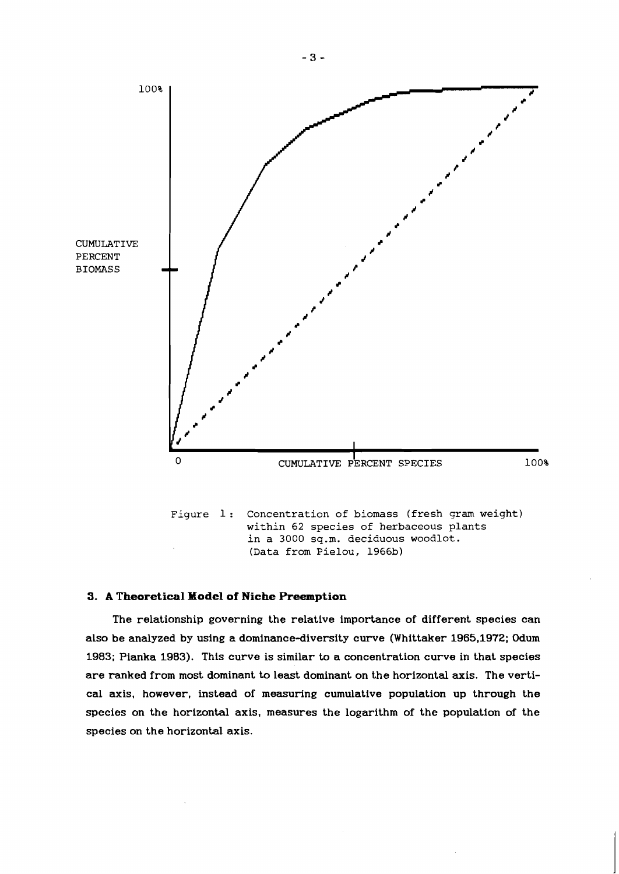

### **3. A Theoretical Model of Niche Preemption**

The relationship governing the relative importance of different species can also be analyzed by using a dominance-diversity curve (Whittaker **1965,1972;** Odum **1983;** Pianka **1983).** This curve is similar to a concentration curve in that species are ranked from most dominant to least dominant on the horizontal axis. The vertical axis, however, instead of measuring cumulative population up through the species on the horizontal axis, measures the logarithm of the population of the species on the horizontal axis.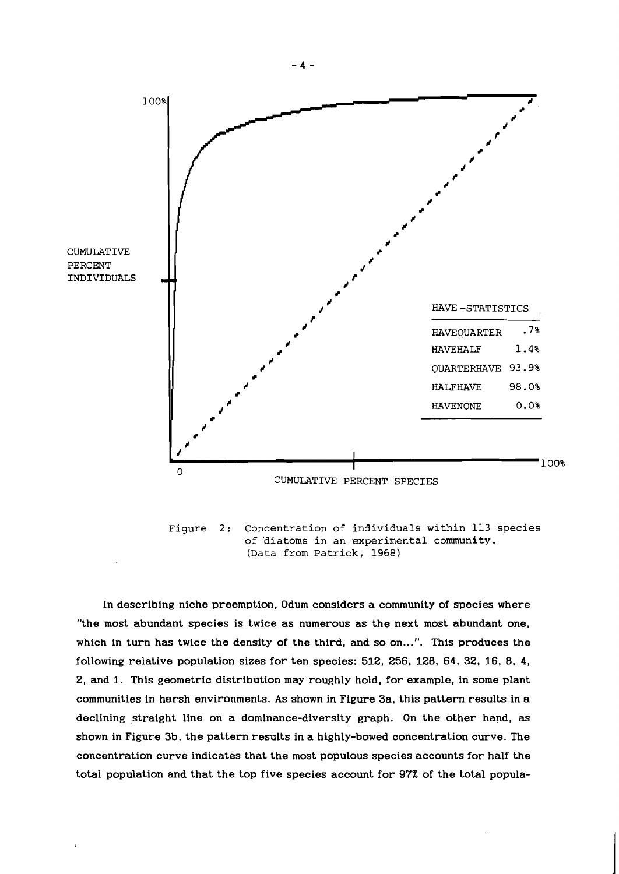

**Figure 2: Concentration of individuals within 113 species of diatoms in an experimental community. (Data from Patrick, 1968)** 

In describing niche preemption, Odum considers a community of species where "the most abundant species is twice as numerous as the next most abundant one, which in turn has twice the density of the third, and so on...". This produces the following relative population sizes for ten species: **512, 256, 128, 64, 32, 16, 8, 4, 2,** and **1.** This geometric distribution may roughly hold, for example, in some plant communities in harsh environments. As shown in Figure 3a, this pattern results in a declining straight line on a dominance-diversity graph. On the other hand, as shown in Figure 3b, the pattern results in a highly-bowed concentration curve. The concentration curve indicates that the most populous species accounts for half the total population and that the top five species account for 97% of the total popula-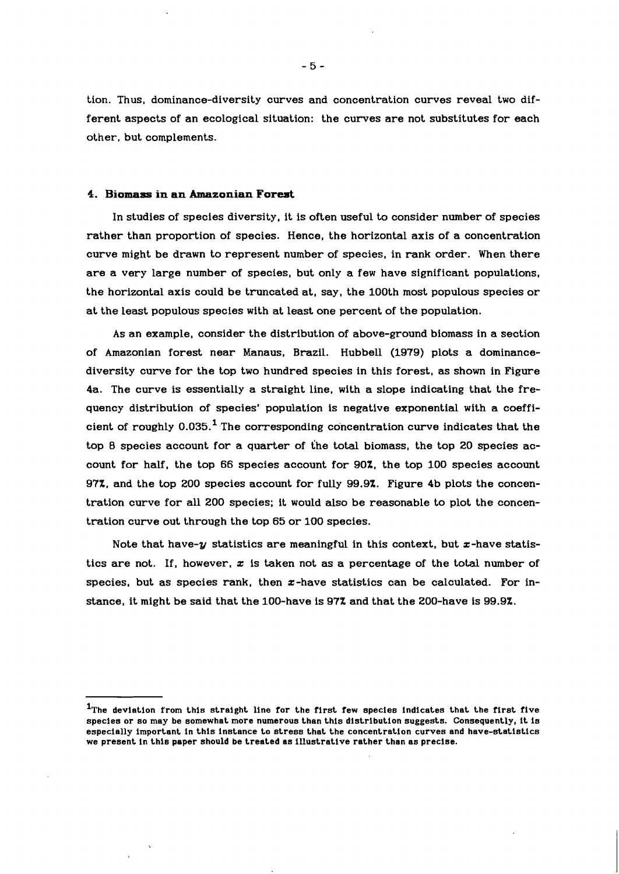tion. Thus, dominance-diversity curves and concentration curves reveal two different aspects of an ecological situation: the curves are not substitutes for each other, but complements.

#### **4. Biomass in an Amazonian Forest**

In studies of species diversity, it is often useful to consider number of species rather than proportion of species. Hence, the horizontal axis of a concentration curve might be drawn to represent number of species, in rank order. When there are a very large number of species, but only a few have significant populations, the horizontal axis could be truncated at, say, the 100th most populous species or at the least populous species with at least one percent of the population.

As an example, consider the distribution of above-ground biomass in a section of Amazonian forest near Manaus, Brazil. Hubbell (1979) plots a dominancediversity curve for the top two hundred species in this forest, as shown in Figure 4a. The curve is essentially a straight line, with a slope indicating that the frequency distribution of species' population is negative exponential with a coefficient of roughly  $0.035$ .<sup>1</sup> The corresponding concentration curve indicates that the top **8** species account for a quarter of the total biomass, the top 20 species account for half, the top 66 species account for 90%. the top 100 species account 97%, and the top 200 species account for fully 99.9%. Figure 4b plots the concentration curve for all 200 species; it would also be reasonable to plot the concentration curve out through the top 65 or 100 species.

Note that have- $y$  statistics are meaningful in this context, but  $x$ -have statistics are not. If, however, **z** is taken not as a percentage of the total number of species, but as species rank, then  $x$ -have statistics can be calculated. For instance, it might be said that the 100-have is 97% and that the 200-have is 99.9%.

<sup>&</sup>lt;sup>1</sup>The deviation from this straight line for the first few species indicates that the first five **species or so may be somewhat more numerous than this distribution suggests. Consequently, it is especially important in this instance to stress that the concentration curves and have-statistics we present in this paper should be treated as illustrative rather than as precise.**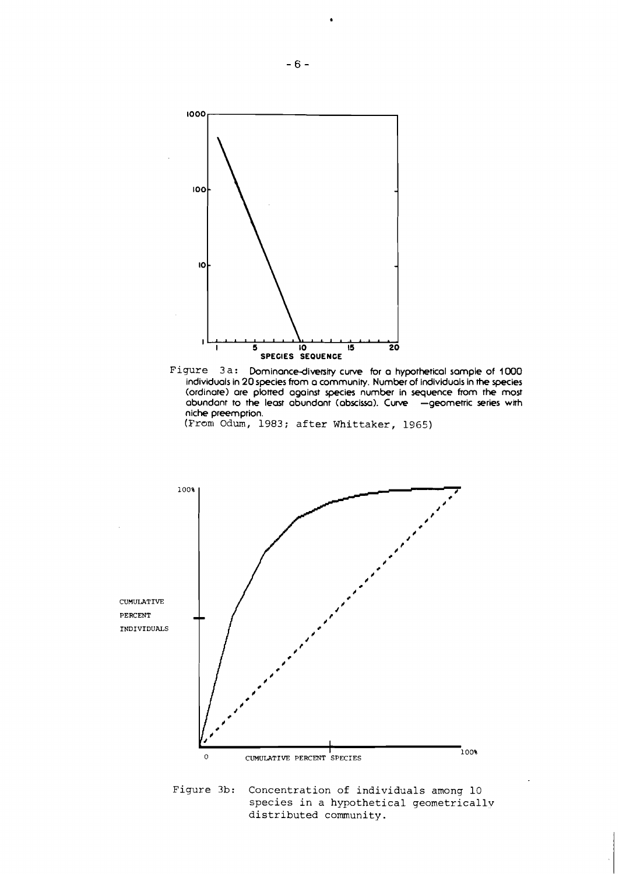

**individuals in 20 species from a community. Number of individuals in the species (ordinate) are plotted against species number in sequence from the most**  abundant to the least abundant (abscissa). Curve - geometric series with **niche preemption.** 





species in a hypothetical geometricallv distributed community.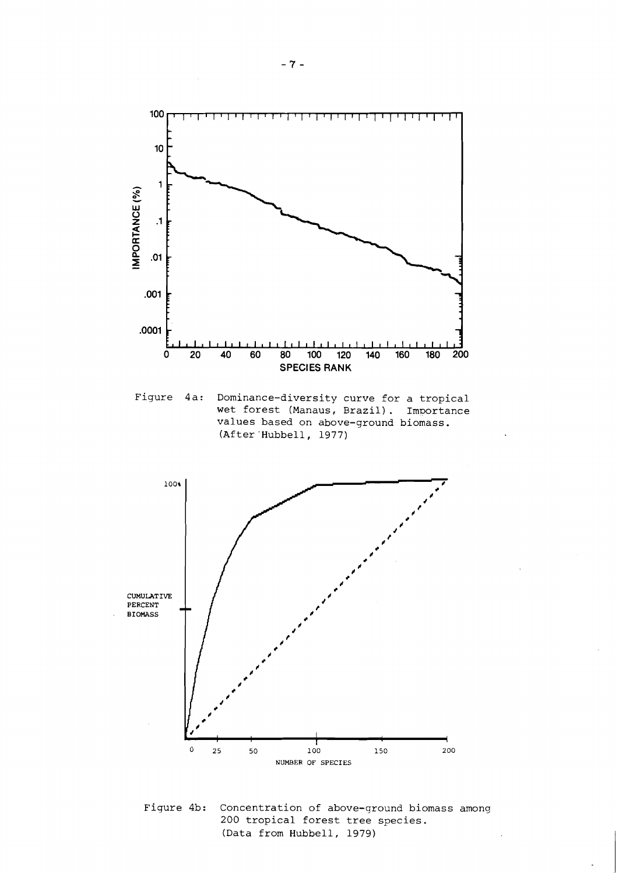

**Figure 4a: Dominance-diversity curve for a tropical wet forest (Manaus, Brazil). Importance values based on above-ground biomass. (After 'Hubbell, 1977)** 



**Figure 4b: Concentration of above-qround biomass among 200 tropical forest tree species. (Data from Hubbell, 1979)**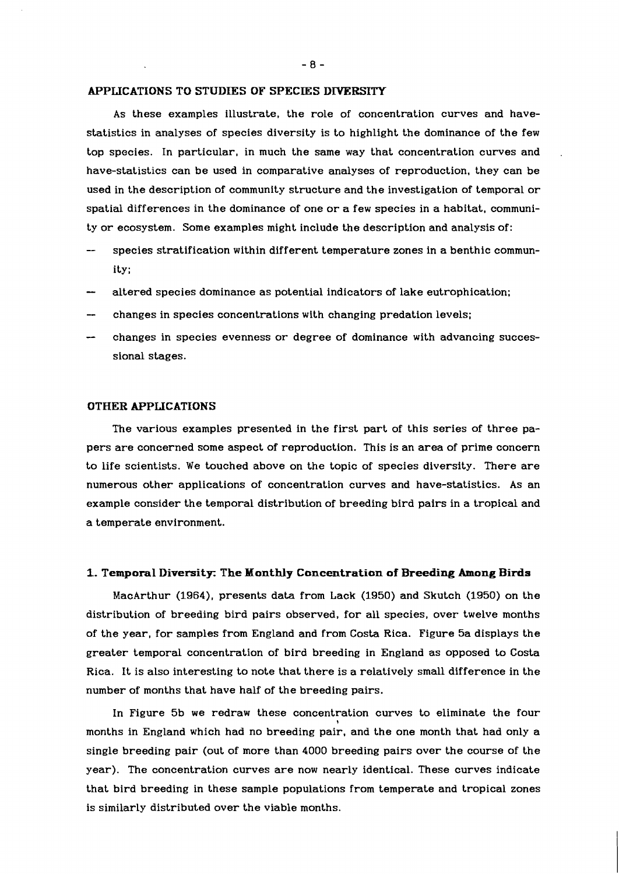#### **APPLICATIONS TO STUDIES OF SPECIES DJYERSITY**

As these examples illustrate, the role of concentration curves and havestatistics in analyses of species diversity is to highlight the dominance of the few top species. In particular, in much the same way that concentration curves and have-statistics can be used in comparative analyses of reproduction, they can be used in the description of community structure and the investigation of temporal or spatial differences in the dominance of one or a few species in a habitat, community or ecosystem. Some examples might include the description and analysis of:

- species stratification within different temperature zones in a benthic community;
- altered species dominance as potential indicators of lake eutrophication;
- changes in species concentrations with changing predation levels;
- changes in species evenness or degree of dominance with advancing successional stages.

#### **OTHER APPLICATIONS**

The various examples presented in the first part of this series of three papers are concerned some aspect of reproduction. This is an area of prime concern to life scientists. We touched above on the topic of species diversity. There are numerous other applications of concentration curves and have-statistics. As an example consider the temporal distribution of breeding bird pairs in a tropical and a temperate environment.

### **1. Temporal Diversity: The Monthly Concentration of Breeding Among Birds**

MacArthur (1964), presents data from Lack (1950) and Skutch (1950) on the distribution of breeding bird pairs observed, for all species, over twelve months of the year, for samples from England and from Costa Rica. Figure 5a displays the greater temporal concentration of bird breeding in England as opposed to Costa Rica. It is also interesting to note that there is a relatively small difference in the number of months that have half of the breeding pairs.

In Figure 5b we redraw these concentration curves to eliminate the four months in England which had no breeding pair, and the one month that had only a single breeding pair (out of more than 4000 breeding pairs over the course of the year). The concentration curves are now nearly identical. These curves indicate that bird breeding in these sample populations from temperate and tropical zones is similarly distributed over the viable months.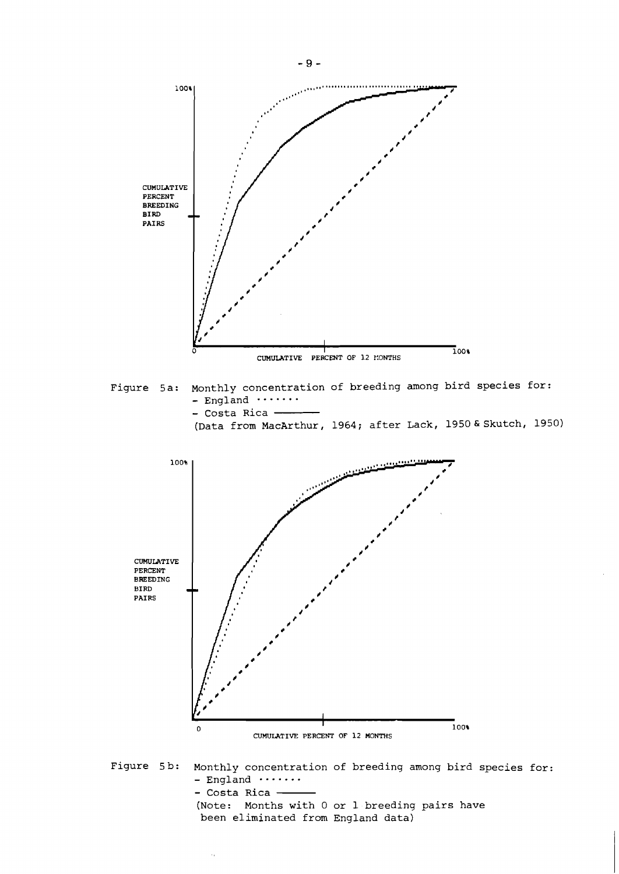

(Note: Months with 0 or 1 breeding pairs have

been eliminated from England data)

 $\bar{\mathcal{A}}_1$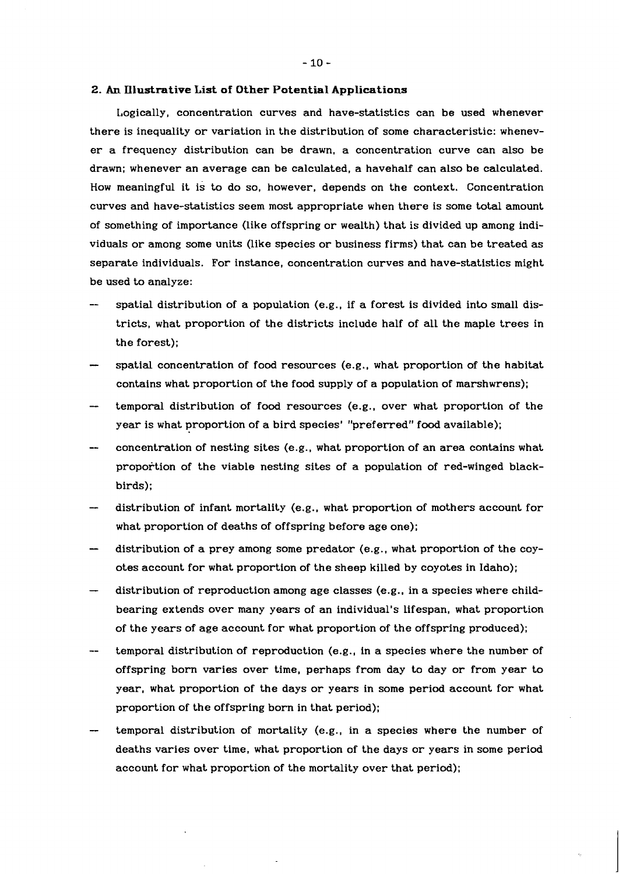#### **2. An InIustrative List of Other Potential Applications**

Logically, concentration curves and have-statistics can be used whenever there is inequality or variation in the distribution of some characteristic: whenever a frequency distribution can be drawn, a concentration curve can also be drawn; whenever an average can be calculated, a havehalf can also be calculated. How meaningful it is to do so, however, depends on the context. Concentration curves and have-statistics seem most appropriate when there is some total amount of something of importance (like offspring or wealth) that is divided up among individuals or among some units (like species or business firms) that can be treated as separate individuals. For instance, concentration curves and have-statistics might be used to analyze:

- spatial distribution of a population (e.g., if a forest is divided into small districts, what proportion of the districts include half of all the maple trees in the forest);
- spatial concentration of food resources (e.g., what proportion of the habitat contains what proportion of the food supply of a population of marshwrens);
- temporal distribution of food resources (e.g., over what proportion of the year is what proportion of a bird species' "preferred" food available);
- concentration of nesting sites (e.g., what proportion of an area contains what proportion of the viable nesting sites of a population of red-winged blackbirds);
- distribution of infant mortality (e.g., what proportion of mothers account for what proportion of deaths of offspring before age one);
- distribution of a prey among some predator (e.g., what proportion of the coyotes account for what proportion of the sheep killed by coyotes in Idaho);
- distribution of reproduction among age classes (e.g., in a species where childbearing extends over many years of an individual's lifespan, what proportion of the years of age account for what proportion of the offspring produced);
- temporal distribution of reproduction (e.g., in a species where the number of offspring born varies over time, perhaps from day to day or from year to year, what proportion of the days or years in some period account for what proportion of the offspring born in that period);
- temporal distribution of mortality (e.g., in a species where the number of deaths varies over time, what proportion of the days or years in some period account for what proportion of the mortality over that period);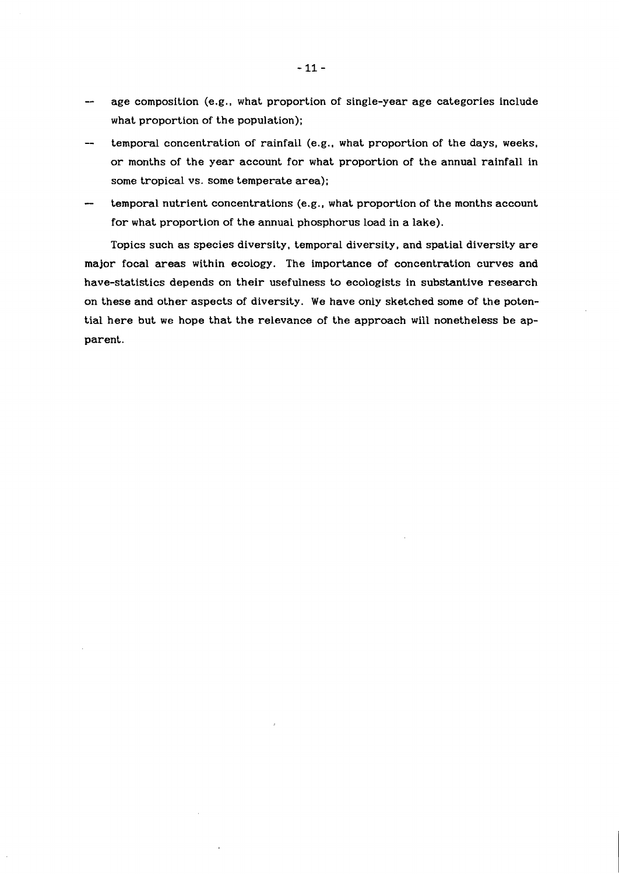- -- age composition (e.g., what proportion of single-year age categories include what proportion of the population);
- temporal concentration of rainfall (e.g., what proportion of the days, weeks, or months of the year account for what proportion of the annual rainfall in some tropical vs. some temperate area);
- temporal nutrient concentrations (e.g., what proportion of the months account for what proportion of the annual phosphorus load in a lake).

Topics such as species diversity, temporal diversity, and spatial diversity are major focal areas within ecology. The importance of concentration curves and have-statistics depends on their usefulness to ecologists in substantive research on these and other aspects of diversity. We have only sketched some of the potential here but we hope that the relevance of the approach will nonetheless be apparent.